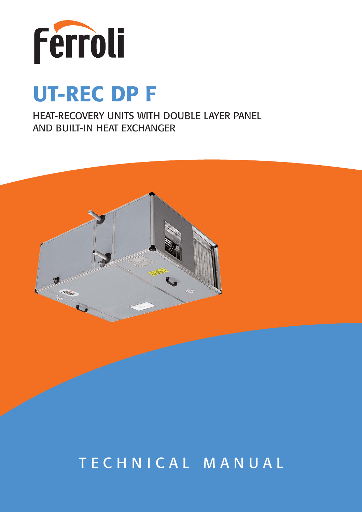

# **UT-REC DP F**

HEAT-RECOVERY UNITS WITH DOUBLE LAYER PANEL AND BUILT-IN HEAT EXCHANGER



## TECHNICAL MANUAL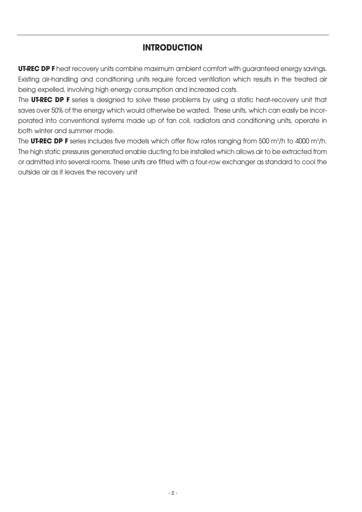## **INTRODUCTION**

**UT-REC DPF** heat recovery units combine maximum ambient comfort with guaranteed energy savings. Existing air-handling and conditioning units require forced ventilation which results in the treated air being expelled, involving high energy consumption and increased costs.

The **UT-REC DP F** series is designed to solve these problems by using a static heat-recovery unit that saves over 50% of the energy which would otherwise be wasted. These units, which can easily be incorporated into conventional systems made up of fan coil, radiators and conditioning units, operate in both winter and summer mode.

The **UT-REC DP F** series includes five models which offer flow rates ranging from 500 m $^3/\mathrm{h}$  to 4000 m $^3/\mathrm{h}$ . The high static pressures generated enable ducting to be installed which allows air to be extracted from or admitted into several rooms. These units are fitted with a four-row exchanger as standard to cool the outside air as it leaves the recovery unit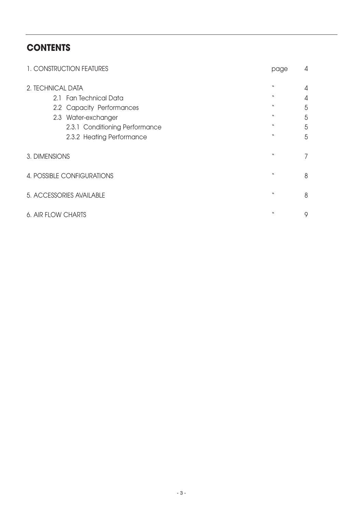## **CONTENTS**

| 1. CONSTRUCTION FEATURES       | page             | 4 |
|--------------------------------|------------------|---|
| 2. TECHNICAL DATA              | w                | 4 |
| 2.1 Fan Technical Data         | w                | 4 |
| 2.2 Capacity Performances      | W                | 5 |
| 2.3 Water-exchanger            | w                | 5 |
| 2.3.1 Conditioning Performance | w                | 5 |
| 2.3.2 Heating Performance      | $\boldsymbol{v}$ | 5 |
| 3. DIMENSIONS                  | л                | 7 |
| 4. POSSIBLE CONFIGURATIONS     | л                | 8 |
| 5. ACCESSORIES AVAILABLE       | w                | 8 |
| 6. AIR FLOW CHARTS             | W                | 9 |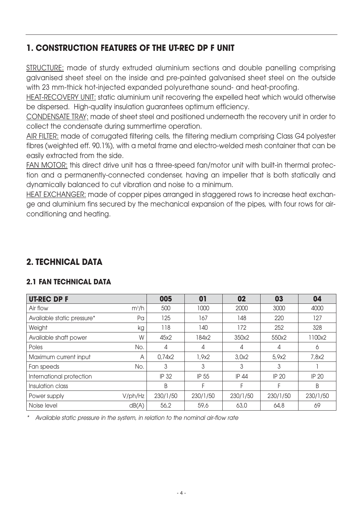## **1. CONSTRUCTION FEATURES OF THE UT-REC DP F UNIT**

STRUCTURE: made of sturdy extruded aluminium sections and double panelling comprising galvanised sheet steel on the inside and pre-painted galvanised sheet steel on the outside with 23 mm-thick hot-injected expanded polyurethane sound- and heat-proofing.

HEAT-RECOVERY UNIT: static aluminium unit recovering the expelled heat which would otherwise be dispersed. High-quality insulation guarantees optimum efficiency.

CONDENSATE TRAY: made of sheet steel and positioned underneath the recovery unit in order to collect the condensate during summertime operation.

AIR FILTER: made of corrugated filtering cells, the filtering medium comprising Class G4 polyester fibres (weighted eff. 90.1%), with a metal frame and electro-welded mesh container that can be easily extracted from the side.

FAN MOTOR: this direct drive unit has a three-speed fan/motor unit with built-in thermal protection and a permanently-connected condenser, having an impeller that is both statically and dynamically balanced to cut vibration and noise to a minimum.

HEAT EXCHANGER: made of copper pipes arranged in staggered rows to increase heat exchange and aluminium fins secured by the mechanical expansion of the pipes, with four rows for airconditioning and heating.

## **2. TECHNICAL DATA**

### **2.1 FAN TECHNICAL DATA**

| <b>UT-REC DP F</b>         |         | 005      | 01       | 02       | 03           | 04           |
|----------------------------|---------|----------|----------|----------|--------------|--------------|
| Air flow                   | $m^3/h$ | 500      | 1000     | 2000     | 3000         | 4000         |
| Available static pressure* | Pa      | 125      | 167      | 148      | 220          | 127          |
| Weight                     | kg      | 118      | 140      | 172      | 252          | 328          |
| Available shaft power      | W       | 45x2     | 184x2    | 350x2    | 550x2        | 1100x2       |
| Poles                      | No.     | 4        | 4        | 4        | 4            | 6            |
| Maximum current input      | A       | 0,74x2   | 1,9x2    | 3,0x2    | 5,9x2        | 7,8x2        |
| Fan speeds                 | No.     | 3        | 3        | 3        | 3            |              |
| International protection   |         | IP 32    | IP 55    | IP 44    | <b>IP 20</b> | <b>IP 20</b> |
| Insulation class           |         | B        | F        | F        |              | B            |
| Power supply               | V/ph/Hz | 230/1/50 | 230/1/50 | 230/1/50 | 230/1/50     | 230/1/50     |
| Noise level                | dB(A)   | 56,2     | 59,6     | 63,0     | 64,8         | 69           |

\*Available static pressure in the system, in relation to the nominal air-flow rate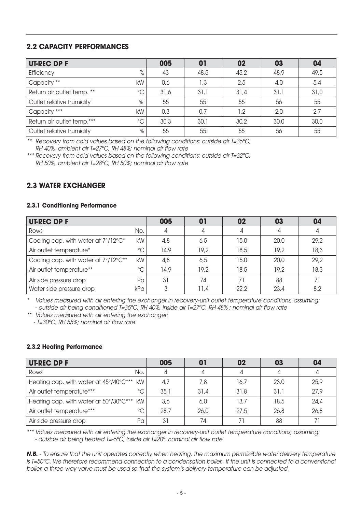#### **2.2 CAPACITY PERFORMANCES**

| <b>UT-REC DP F</b>                            | 005  | 01   | 02   | 03   | 04   |
|-----------------------------------------------|------|------|------|------|------|
| %<br>Efficiency                               | 43   | 48,5 | 45,2 | 48,9 | 49,5 |
| Capacity **<br>kW                             | 0,6  | 1,3  | 2,5  | 4,0  | 5,4  |
| $\rm ^{\circ}C$<br>Return air outlet temp. ** | 31,6 | 31,1 | 31,4 | 31,1 | 31,0 |
| %<br>Outlet relative humidity                 | 55   | 55   | 55   | 56   | 55   |
| Capacity ***<br>kW                            | 0,3  | 0,7  | 1,2  | 2,0  | 2,7  |
| $\rm ^{\circ}C$<br>Return air outlet temp.*** | 30,3 | 30,1 | 30,2 | 30,0 | 30,0 |
| %<br>Outlet relative humidity                 | 55   | 55   | 55   | 56   | 55   |

\*\* Recovery from cold values based on the following conditions: outside air T=35ºC, RH 40%, ambient air T=27ºC, RH 48%; nominal air flow rate

\*\*\* Recovery from cold values based on the following conditions: outside air T=32ºC, RH 50%, ambient air T=28ºC, RH 50%; nominal air flow rate

#### **2.3 WATER EXCHANGER**

#### **2.3.1 Conditioning Performance**

| <b>UT-REC DP F</b>                   |              | 005  | 01   | 02   | 03   | 04   |
|--------------------------------------|--------------|------|------|------|------|------|
| Rows                                 | No.          |      | 4    |      | 4    | 4    |
| Cooling cap. with water at 7°/12°C*  | kW           | 4,8  | 6,5  | 15,0 | 20,0 | 29,2 |
| Air outlet temperature*              | $^{\circ}$ C | 14,9 | 19,2 | 18,5 | 19,2 | 18,3 |
| Cooling cap. with water at 7°/12°C** | kW           | 4,8  | 6,5  | 15,0 | 20.0 | 29,2 |
| Air outlet temperature**             | $^{\circ}$ C | 14,9 | 19.2 | 18,5 | 19.2 | 18,3 |
| Air side pressure drop               | Pa           | 31   | 74   |      | 88   | 71   |
| Water side pressure drop             | kPa          |      | 11,4 | 22,2 | 23,4 | 8,2  |

\* Values measured with air entering the exchanger in recovery-unit outlet temperature conditions, assuming: - outside air being conditioned T=35ºC, RH 40%, inside air T=27ºC, RH 48% ; nominal air flow rate

\*\*Values measured with air entering the exchanger:

- T=30ºC, RH 55%; nominal air flow rate

#### **2.3.2 Heating Performance**

| <b>UT-REC DP F</b>                             | 005  | 01   | 02   | 03   | 04   |
|------------------------------------------------|------|------|------|------|------|
| No.<br>Rows                                    |      | 4    |      |      |      |
| Heating cap. with water at 45°/40°C*** kW      | 4.7  | 7,8  | 16,7 | 23,0 | 25,9 |
| $^{\circ}$ C<br>Air outlet temperature***      | 35,1 | 31.4 | 31,8 | 31,1 | 27,9 |
| kW l<br>Heating cap. with water at 50°/30°C*** | 3,6  | 6,0  | 13,7 | 18,5 | 24,4 |
| $^{\circ}$ C<br>Air outlet temperature***      | 28,7 | 26,0 | 27,5 | 26,8 | 26,8 |
| Pα<br>Air side pressure drop                   | 31   | 74   |      | 88   | 71   |

\*\*\* Values measured with air entering the exchanger in recovery-unit outlet temperature conditions, assuming: - outside air being heated T=-5ºC, inside air T=20º; nominal air flow rate

**N.B.** - To ensure that the unit operates correctly when heating, the maximum permissible water delivery temperature is T=50ºC. We therefore recommend connection to a condensation boiler. If the unit is connected to a conventional boiler, a three-way valve must be used so that the system's delivery temperature can be adjusted.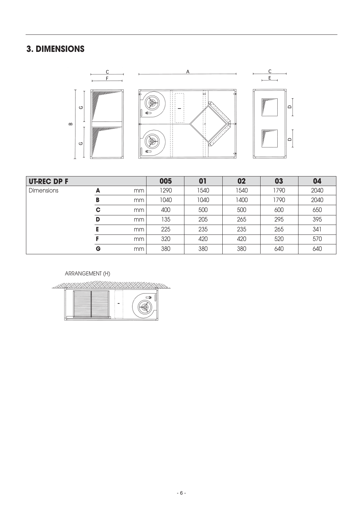## **3. DIMENSIONS**



| <b>UT-REC DP F</b> |   |    | 005  | 01   | 02   | 03   | 04   |
|--------------------|---|----|------|------|------|------|------|
| <b>Dimensions</b>  | А | mm | 1290 | 1540 | 1540 | 1790 | 2040 |
|                    | в | mm | 1040 | 1040 | 1400 | 1790 | 2040 |
|                    | C | mm | 400  | 500  | 500  | 600  | 650  |
|                    | D | mm | 135  | 205  | 265  | 295  | 395  |
|                    |   | mm | 225  | 235  | 235  | 265  | 341  |
|                    |   | mm | 320  | 420  | 420  | 520  | 570  |
|                    | G | mm | 380  | 380  | 380  | 640  | 640  |

#### ARRANGEMENT (H)

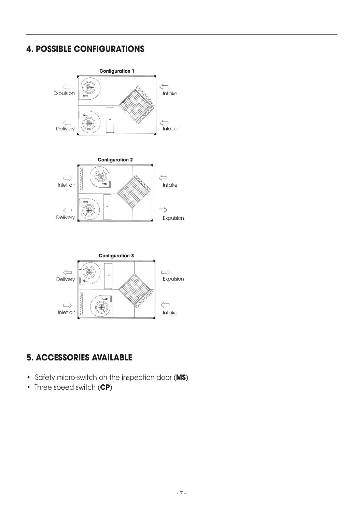## **4. POSSIBLE CONFIGURATIONS**



## **5. ACCESSORIES AVAILABLE**

- Safety micro-switch on the inspection door (**MS**)
- Three speed switch (**CP**)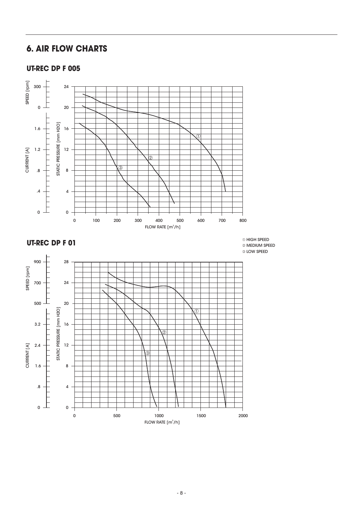## **6. AIR FLOW CHARTS**

#### **UT-REC DP F 005**



#### **UT-REC DP F 01**

HIGH SPEED MEDIUM SPEED LOW SPEED

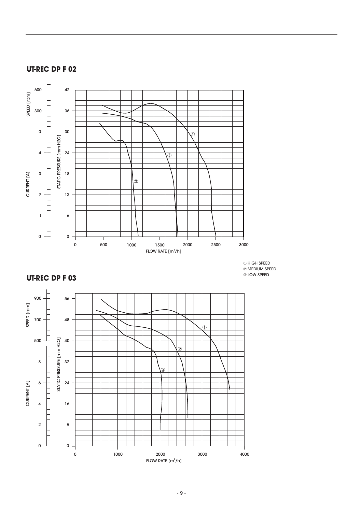

### **UT-REC DP F 02**

- 9 -

FLOW RATE  $[m^3/h]$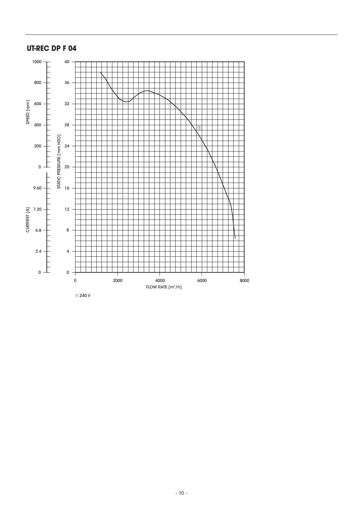#### **UT-REC DP F 04**



240 V